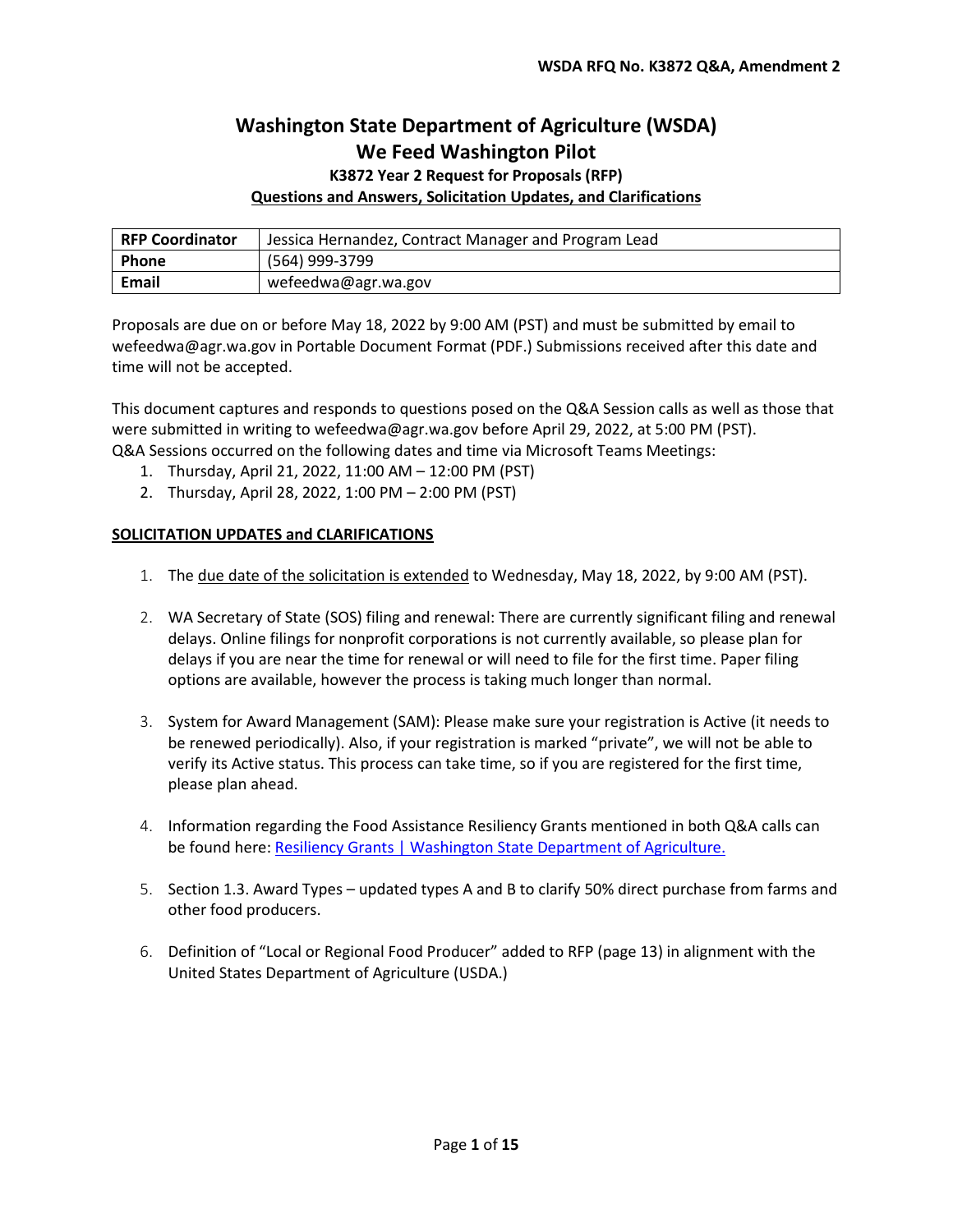## **Washington State Department of Agriculture (WSDA) We Feed Washington Pilot**

## **K3872 Year 2 Request for Proposals (RFP) Questions and Answers, Solicitation Updates, and Clarifications**

| <b>RFP Coordinator</b> | Jessica Hernandez, Contract Manager and Program Lead |
|------------------------|------------------------------------------------------|
| Phone                  | (564) 999-3799                                       |
| Email                  | wefeedwa@agr.wa.gov                                  |

Proposals are due on or before May 18, 2022 by 9:00 AM (PST) and must be submitted by email to wefeedwa@agr.wa.gov in Portable Document Format (PDF.) Submissions received after this date and time will not be accepted.

This document captures and responds to questions posed on the Q&A Session calls as well as those that were submitted in writing to [wefeedwa@agr.wa.gov](mailto:wefeedwa@agr.wa.gov) before April 29, 2022, at 5:00 PM (PST). Q&A Sessions occurred on the following dates and time via Microsoft Teams Meetings:

- 1. Thursday, April 21, 2022, 11:00 AM 12:00 PM (PST)
- 2. Thursday, April 28, 2022, 1:00 PM 2:00 PM (PST)

## **SOLICITATION UPDATES and CLARIFICATIONS**

- 1. The due date of the solicitation is extended to Wednesday, May 18, 2022, by 9:00 AM (PST).
- 2. WA Secretary of State (SOS) filing and renewal: There are currently significant filing and renewal delays. Online filings for nonprofit corporations is not currently available, so please plan for delays if you are near the time for renewal or will need to file for the first time. Paper filing options are available, however the process is taking much longer than normal.
- 3. System for Award Management (SAM): Please make sure your registration is Active (it needs to be renewed periodically). Also, if your registration is marked "private", we will not be able to verify its Active status. This process can take time, so if you are registered for the first time, please plan ahead.
- 4. Information regarding the Food Assistance Resiliency Grants mentioned in both Q&A calls can be found here[: Resiliency Grants | Washington State Department of Agriculture.](https://agr.wa.gov/services/food-access/hunger-relief-resources/food-assistance-grants/resiliency-grants)
- 5. Section 1.3. Award Types updated types A and B to clarify 50% direct purchase from farms and other food producers.
- 6. Definition of "Local or Regional Food Producer" added to RFP (page 13) in alignment with the United States Department of Agriculture (USDA.)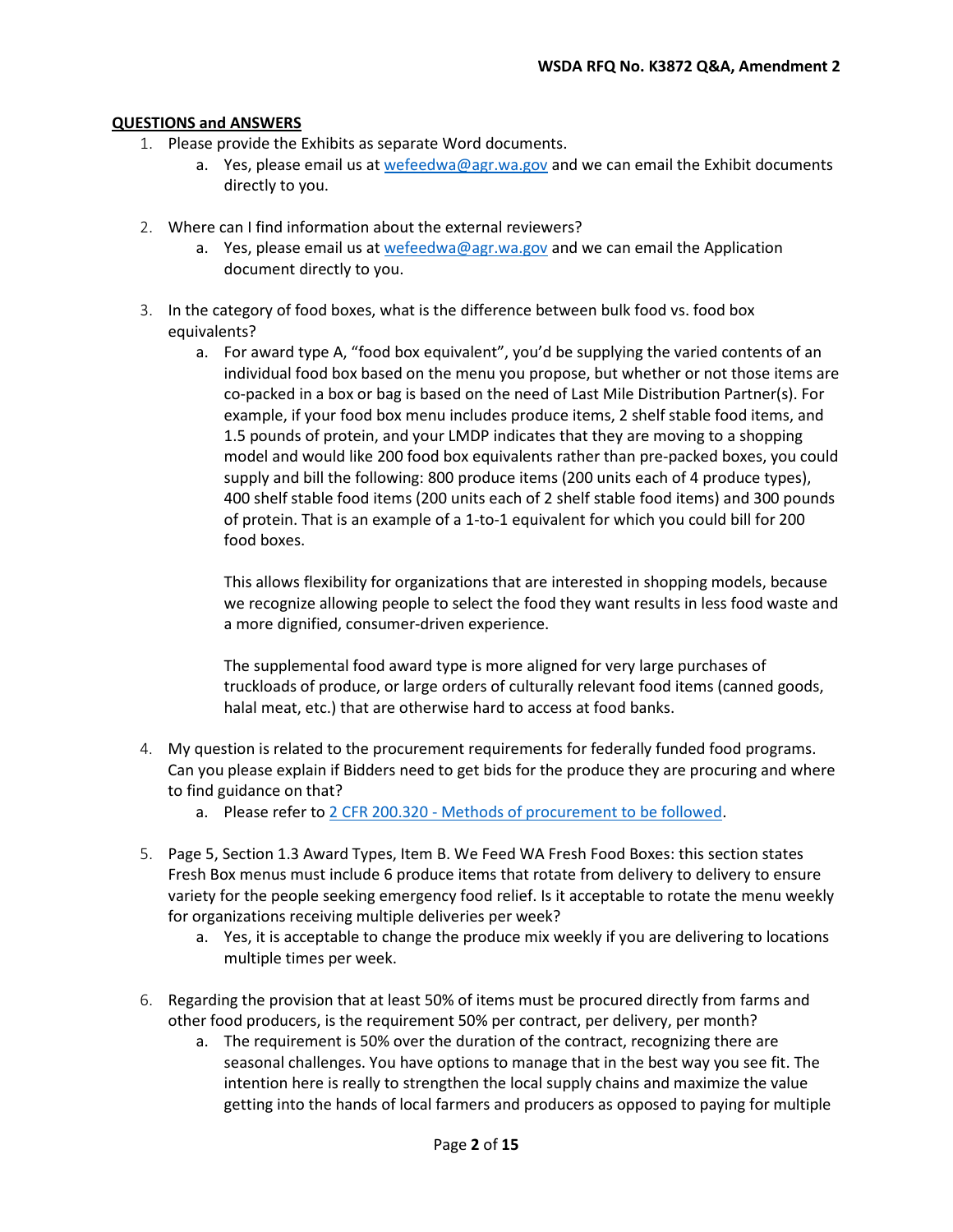## **QUESTIONS and ANSWERS**

- 1. Please provide the Exhibits as separate Word documents.
	- a. Yes, please email us a[t wefeedwa@agr.wa.gov](mailto:wefeedwa@agr.wa.gov) and we can email the Exhibit documents directly to you.
- 2. Where can I find information about the external reviewers?
	- a. Yes, please email us a[t wefeedwa@agr.wa.gov](mailto:wefeedwa@agr.wa.gov) and we can email the Application document directly to you.
- 3. In the category of food boxes, what is the difference between bulk food vs. food box equivalents?
	- a. For award type A, "food box equivalent", you'd be supplying the varied contents of an individual food box based on the menu you propose, but whether or not those items are co-packed in a box or bag is based on the need of Last Mile Distribution Partner(s). For example, if your food box menu includes produce items, 2 shelf stable food items, and 1.5 pounds of protein, and your LMDP indicates that they are moving to a shopping model and would like 200 food box equivalents rather than pre-packed boxes, you could supply and bill the following: 800 produce items (200 units each of 4 produce types), 400 shelf stable food items (200 units each of 2 shelf stable food items) and 300 pounds of protein. That is an example of a 1-to-1 equivalent for which you could bill for 200 food boxes.

This allows flexibility for organizations that are interested in shopping models, because we recognize allowing people to select the food they want results in less food waste and a more dignified, consumer-driven experience.

The supplemental food award type is more aligned for very large purchases of truckloads of produce, or large orders of culturally relevant food items (canned goods, halal meat, etc.) that are otherwise hard to access at food banks.

- 4. My question is related to the procurement requirements for federally funded food programs. Can you please explain if Bidders need to get bids for the produce they are procuring and where to find guidance on that?
	- a. Please refer t[o 2 CFR 200.320 Methods of procurement to be followed.](https://www.ecfr.gov/current/title-2/subtitle-A/chapter-II/part-200/subpart-D/subject-group-ECFR45ddd4419ad436d/section-200.320)
- 5. Page 5, Section 1.3 Award Types, Item B. We Feed WA Fresh Food Boxes: this section states Fresh Box menus must include 6 produce items that rotate from delivery to delivery to ensure variety for the people seeking emergency food relief. Is it acceptable to rotate the menu weekly for organizations receiving multiple deliveries per week?
	- a. Yes, it is acceptable to change the produce mix weekly if you are delivering to locations multiple times per week.
- 6. Regarding the provision that at least 50% of items must be procured directly from farms and other food producers, is the requirement 50% per contract, per delivery, per month?
	- a. The requirement is 50% over the duration of the contract, recognizing there are seasonal challenges. You have options to manage that in the best way you see fit. The intention here is really to strengthen the local supply chains and maximize the value getting into the hands of local farmers and producers as opposed to paying for multiple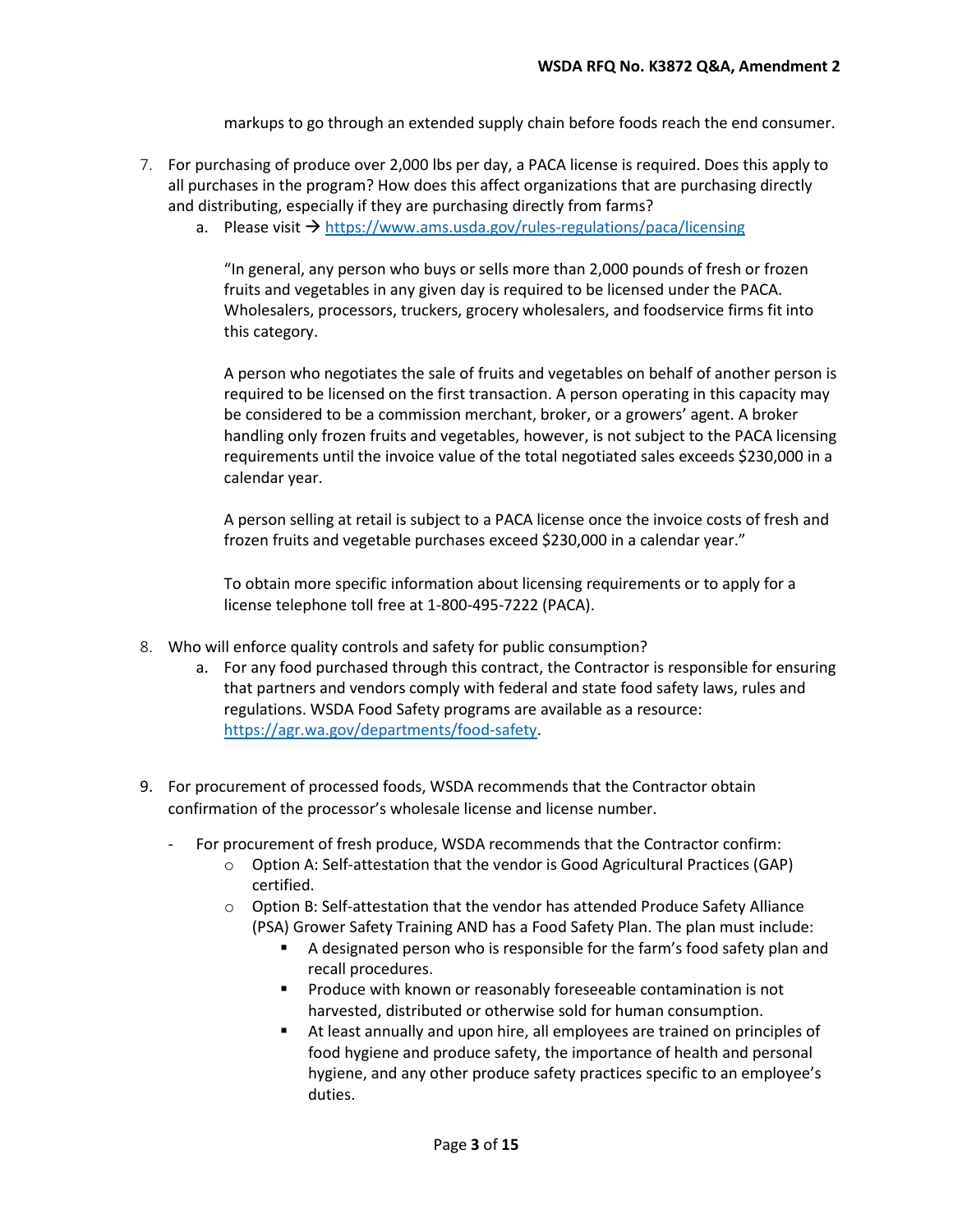markups to go through an extended supply chain before foods reach the end consumer.

- 7. For purchasing of produce over 2,000 lbs per day, a PACA license is required. Does this apply to all purchases in the program? How does this affect organizations that are purchasing directly and distributing, especially if they are purchasing directly from farms?
	- a. Please visit  $\rightarrow$  <https://www.ams.usda.gov/rules-regulations/paca/licensing>

"In general, any person who buys or sells more than 2,000 pounds of fresh or frozen fruits and vegetables in any given day is required to be licensed under the PACA. Wholesalers, processors, truckers, grocery wholesalers, and foodservice firms fit into this category.

A person who negotiates the sale of fruits and vegetables on behalf of another person is required to be licensed on the first transaction. A person operating in this capacity may be considered to be a commission merchant, broker, or a growers' agent. A broker handling only frozen fruits and vegetables, however, is not subject to the PACA licensing requirements until the invoice value of the total negotiated sales exceeds \$230,000 in a calendar year.

A person selling at retail is subject to a PACA license once the invoice costs of fresh and frozen fruits and vegetable purchases exceed \$230,000 in a calendar year."

To obtain more specific information about licensing requirements or to apply for a license telephone toll free at 1-800-495-7222 (PACA).

- 8. Who will enforce quality controls and safety for public consumption?
	- a. For any food purchased through this contract, the Contractor is responsible for ensuring that partners and vendors comply with federal and state food safety laws, rules and regulations. WSDA Food Safety programs are available as a resource: [https://agr.wa.gov/departments/food-safety.](https://agr.wa.gov/departments/food-safety)
- 9. For procurement of processed foods, WSDA recommends that the Contractor obtain confirmation of the processor's wholesale license and license number.
	- For procurement of fresh produce, WSDA recommends that the Contractor confirm:
		- o Option A: Self-attestation that the vendor is Good Agricultural Practices (GAP) certified.
		- $\circ$  Option B: Self-attestation that the vendor has attended Produce Safety Alliance (PSA) Grower Safety Training AND has a Food Safety Plan. The plan must include:
			- A designated person who is responsible for the farm's food safety plan and recall procedures.
			- **Produce with known or reasonably foreseeable contamination is not** harvested, distributed or otherwise sold for human consumption.
			- At least annually and upon hire, all employees are trained on principles of food hygiene and produce safety, the importance of health and personal hygiene, and any other produce safety practices specific to an employee's duties.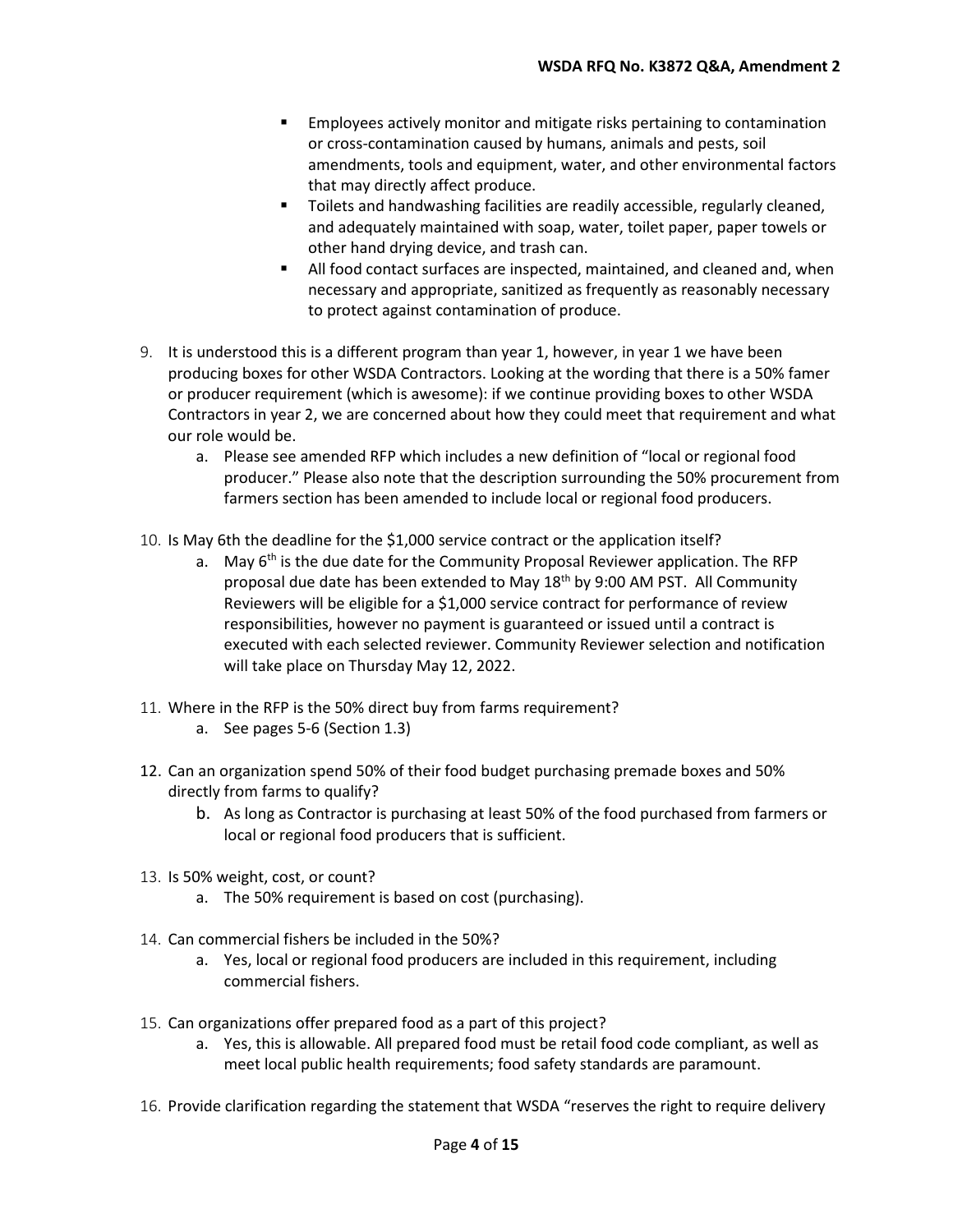- Employees actively monitor and mitigate risks pertaining to contamination or cross-contamination caused by humans, animals and pests, soil amendments, tools and equipment, water, and other environmental factors that may directly affect produce.
- **Toilets and handwashing facilities are readily accessible, regularly cleaned,** and adequately maintained with soap, water, toilet paper, paper towels or other hand drying device, and trash can.
- All food contact surfaces are inspected, maintained, and cleaned and, when necessary and appropriate, sanitized as frequently as reasonably necessary to protect against contamination of produce.
- 9. It is understood this is a different program than year 1, however, in year 1 we have been producing boxes for other WSDA Contractors. Looking at the wording that there is a 50% famer or producer requirement (which is awesome): if we continue providing boxes to other WSDA Contractors in year 2, we are concerned about how they could meet that requirement and what our role would be.
	- a. Please see amended RFP which includes a new definition of "local or regional food producer." Please also note that the description surrounding the 50% procurement from farmers section has been amended to include local or regional food producers.
- 10. Is May 6th the deadline for the \$1,000 service contract or the application itself?
	- a. May  $6<sup>th</sup>$  is the due date for the Community Proposal Reviewer application. The RFP proposal due date has been extended to May 18<sup>th</sup> by 9:00 AM PST. All Community Reviewers will be eligible for a \$1,000 service contract for performance of review responsibilities, however no payment is guaranteed or issued until a contract is executed with each selected reviewer. Community Reviewer selection and notification will take place on Thursday May 12, 2022.
- 11. Where in the RFP is the 50% direct buy from farms requirement?
	- a. See pages 5-6 (Section 1.3)
- 12. Can an organization spend 50% of their food budget purchasing premade boxes and 50% directly from farms to qualify?
	- b. As long as Contractor is purchasing at least 50% of the food purchased from farmers or local or regional food producers that is sufficient.
- 13. Is 50% weight, cost, or count?
	- a. The 50% requirement is based on cost (purchasing).
- 14. Can commercial fishers be included in the 50%?
	- a. Yes, local or regional food producers are included in this requirement, including commercial fishers.
- 15. Can organizations offer prepared food as a part of this project?
	- a. Yes, this is allowable. All prepared food must be retail food code compliant, as well as meet local public health requirements; food safety standards are paramount.
- 16. Provide clarification regarding the statement that WSDA "reserves the right to require delivery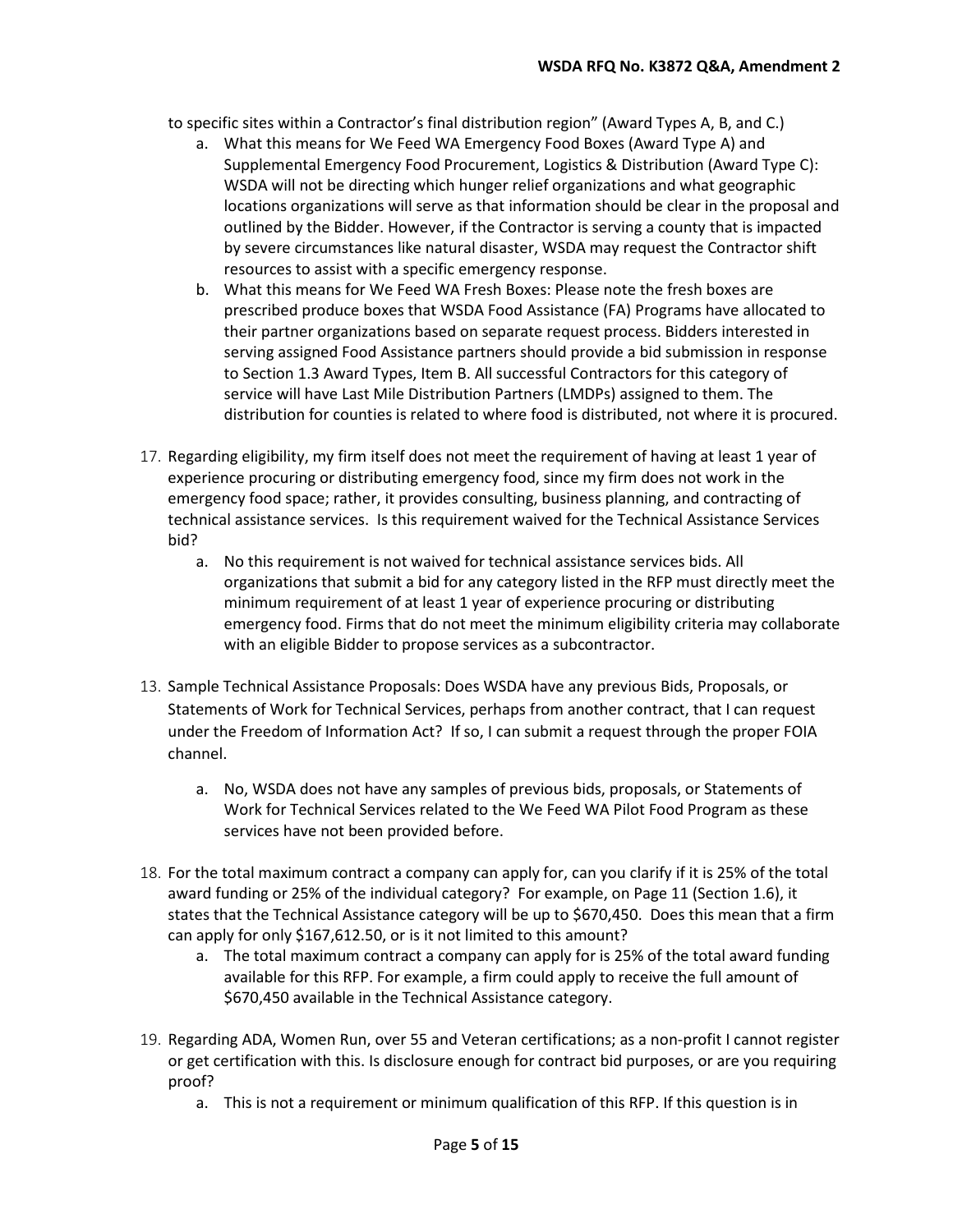to specific sites within a Contractor's final distribution region" (Award Types A, B, and C.)

- a. What this means for We Feed WA Emergency Food Boxes (Award Type A) and Supplemental Emergency Food Procurement, Logistics & Distribution (Award Type C): WSDA will not be directing which hunger relief organizations and what geographic locations organizations will serve as that information should be clear in the proposal and outlined by the Bidder. However, if the Contractor is serving a county that is impacted by severe circumstances like natural disaster, WSDA may request the Contractor shift resources to assist with a specific emergency response.
- b. What this means for We Feed WA Fresh Boxes: Please note the fresh boxes are prescribed produce boxes that WSDA Food Assistance (FA) Programs have allocated to their partner organizations based on separate request process. Bidders interested in serving assigned Food Assistance partners should provide a bid submission in response to Section 1.3 Award Types, Item B. All successful Contractors for this category of service will have Last Mile Distribution Partners (LMDPs) assigned to them. The distribution for counties is related to where food is distributed, not where it is procured.
- 17. Regarding eligibility, my firm itself does not meet the requirement of having at least 1 year of experience procuring or distributing emergency food, since my firm does not work in the emergency food space; rather, it provides consulting, business planning, and contracting of technical assistance services. Is this requirement waived for the Technical Assistance Services bid?
	- a. No this requirement is not waived for technical assistance services bids. All organizations that submit a bid for any category listed in the RFP must directly meet the minimum requirement of at least 1 year of experience procuring or distributing emergency food. Firms that do not meet the minimum eligibility criteria may collaborate with an eligible Bidder to propose services as a subcontractor.
- 13. Sample Technical Assistance Proposals: Does WSDA have any previous Bids, Proposals, or Statements of Work for Technical Services, perhaps from another contract, that I can request under the Freedom of Information Act? If so, I can submit a request through the proper FOIA channel.
	- a. No, WSDA does not have any samples of previous bids, proposals, or Statements of Work for Technical Services related to the We Feed WA Pilot Food Program as these services have not been provided before.
- 18. For the total maximum contract a company can apply for, can you clarify if it is 25% of the total award funding or 25% of the individual category? For example, on Page 11 (Section 1.6), it states that the Technical Assistance category will be up to \$670,450. Does this mean that a firm can apply for only \$167,612.50, or is it not limited to this amount?
	- a. The total maximum contract a company can apply for is 25% of the total award funding available for this RFP. For example, a firm could apply to receive the full amount of \$670,450 available in the Technical Assistance category.
- 19. Regarding ADA, Women Run, over 55 and Veteran certifications; as a non-profit I cannot register or get certification with this. Is disclosure enough for contract bid purposes, or are you requiring proof?
	- a. This is not a requirement or minimum qualification of this RFP. If this question is in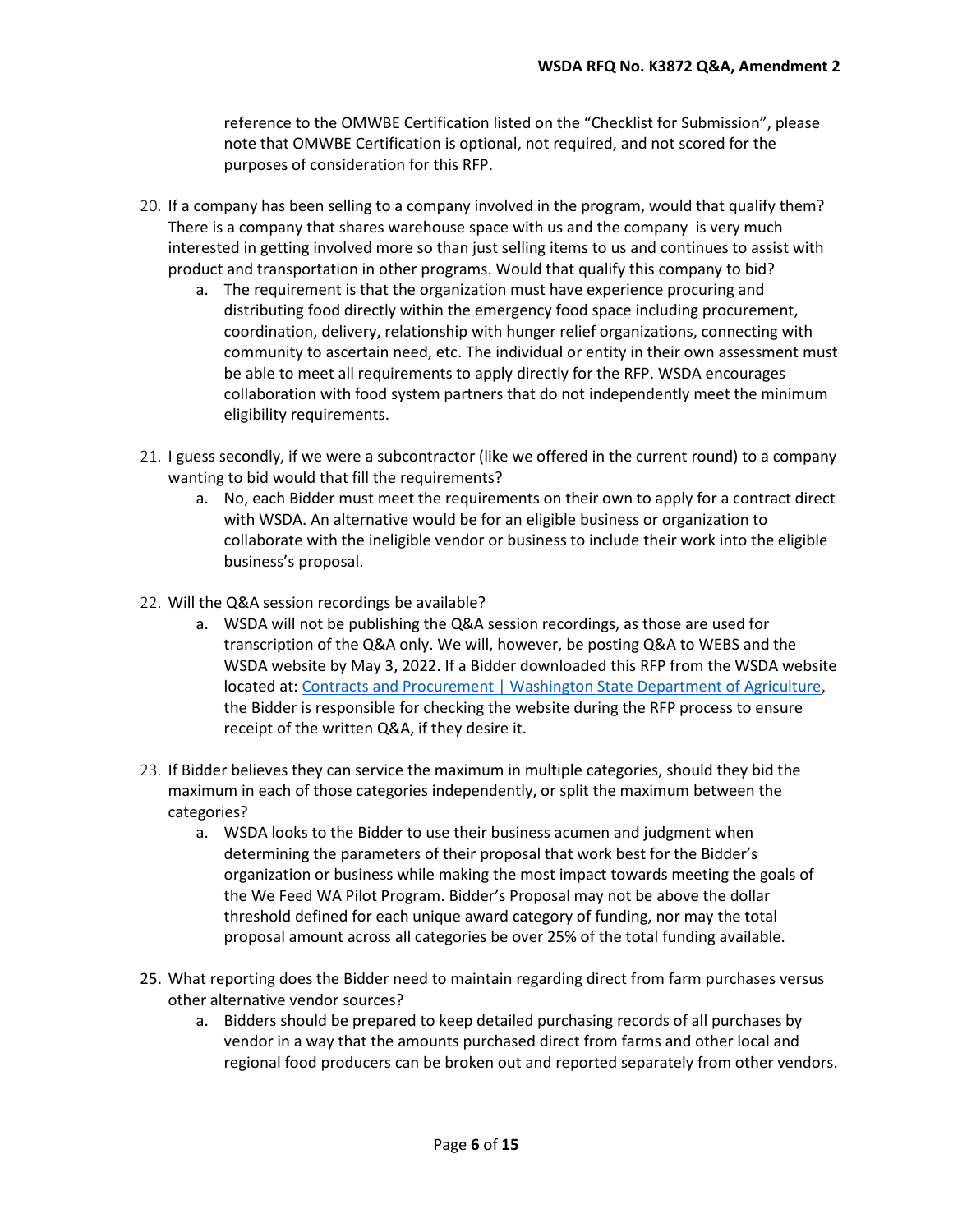reference to the OMWBE Certification listed on the "Checklist for Submission", please note that OMWBE Certification is optional, not required, and not scored for the purposes of consideration for this RFP.

- 20. If a company has been selling to a company involved in the program, would that qualify them? There is a company that shares warehouse space with us and the company is very much interested in getting involved more so than just selling items to us and continues to assist with product and transportation in other programs. Would that qualify this company to bid?
	- a. The requirement is that the organization must have experience procuring and distributing food directly within the emergency food space including procurement, coordination, delivery, relationship with hunger relief organizations, connecting with community to ascertain need, etc. The individual or entity in their own assessment must be able to meet all requirements to apply directly for the RFP. WSDA encourages collaboration with food system partners that do not independently meet the minimum eligibility requirements.
- 21. I guess secondly, if we were a subcontractor (like we offered in the current round) to a company wanting to bid would that fill the requirements?
	- a. No, each Bidder must meet the requirements on their own to apply for a contract direct with WSDA. An alternative would be for an eligible business or organization to collaborate with the ineligible vendor or business to include their work into the eligible business's proposal.
- 22. Will the Q&A session recordings be available?
	- a. WSDA will not be publishing the Q&A session recordings, as those are used for transcription of the Q&A only. We will, however, be posting Q&A to WEBS and the WSDA website by May 3, 2022. If a Bidder downloaded this RFP from the WSDA website located at: [Contracts and Procurement | Washington State Department of Agriculture,](https://agr.wa.gov/about-wsda/contracts-and-procurement) the Bidder is responsible for checking the website during the RFP process to ensure receipt of the written Q&A, if they desire it.
- 23. If Bidder believes they can service the maximum in multiple categories, should they bid the maximum in each of those categories independently, or split the maximum between the categories?
	- a. WSDA looks to the Bidder to use their business acumen and judgment when determining the parameters of their proposal that work best for the Bidder's organization or business while making the most impact towards meeting the goals of the We Feed WA Pilot Program. Bidder's Proposal may not be above the dollar threshold defined for each unique award category of funding, nor may the total proposal amount across all categories be over 25% of the total funding available.
- 25. What reporting does the Bidder need to maintain regarding direct from farm purchases versus other alternative vendor sources?
	- a. Bidders should be prepared to keep detailed purchasing records of all purchases by vendor in a way that the amounts purchased direct from farms and other local and regional food producers can be broken out and reported separately from other vendors.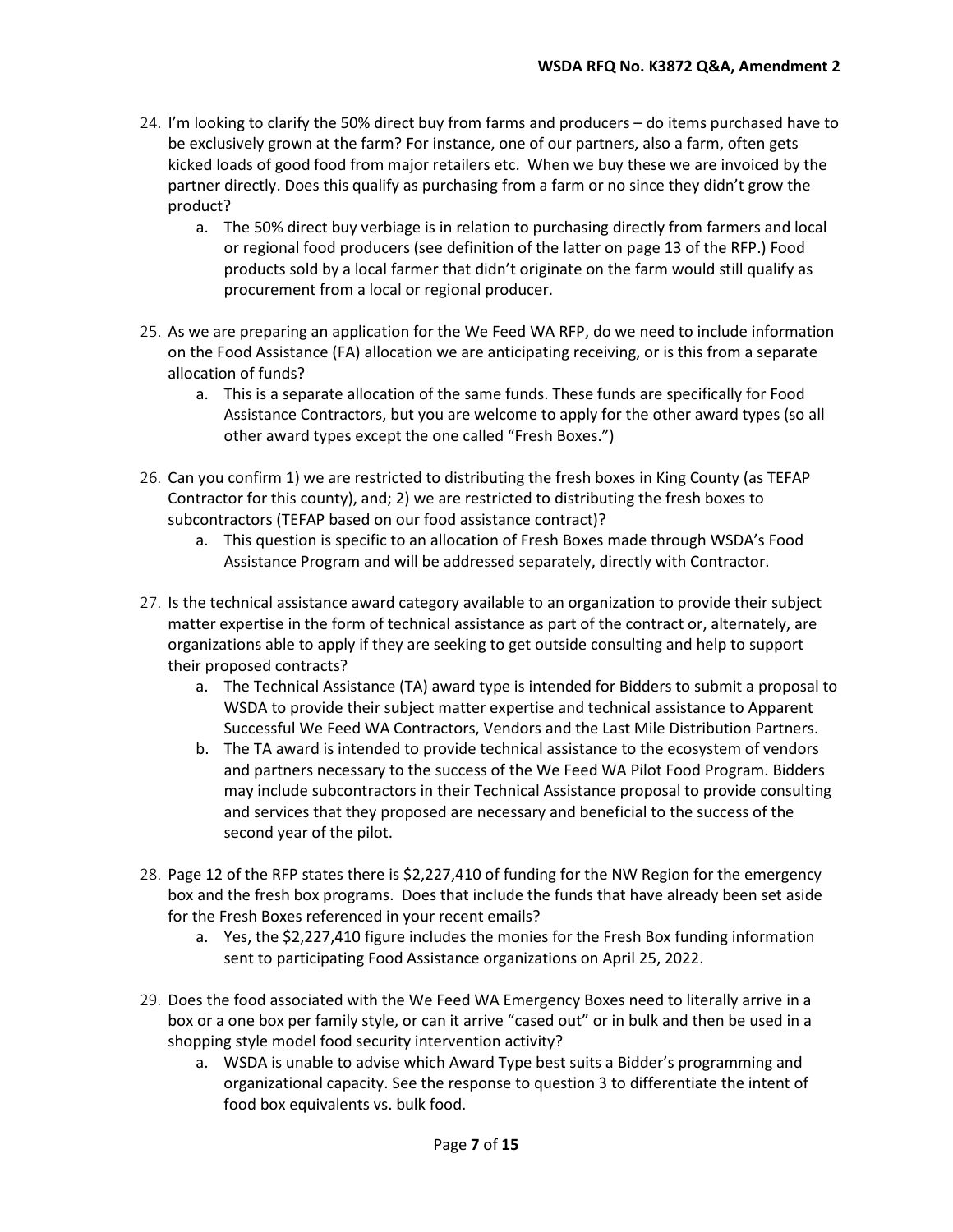- 24. I'm looking to clarify the 50% direct buy from farms and producers do items purchased have to be exclusively grown at the farm? For instance, one of our partners, also a farm, often gets kicked loads of good food from major retailers etc. When we buy these we are invoiced by the partner directly. Does this qualify as purchasing from a farm or no since they didn't grow the product?
	- a. The 50% direct buy verbiage is in relation to purchasing directly from farmers and local or regional food producers (see definition of the latter on page 13 of the RFP.) Food products sold by a local farmer that didn't originate on the farm would still qualify as procurement from a local or regional producer.
- 25. As we are preparing an application for the We Feed WA RFP, do we need to include information on the Food Assistance (FA) allocation we are anticipating receiving, or is this from a separate allocation of funds?
	- a. This is a separate allocation of the same funds. These funds are specifically for Food Assistance Contractors, but you are welcome to apply for the other award types (so all other award types except the one called "Fresh Boxes.")
- 26. Can you confirm 1) we are restricted to distributing the fresh boxes in King County (as TEFAP Contractor for this county), and; 2) we are restricted to distributing the fresh boxes to subcontractors (TEFAP based on our food assistance contract)?
	- a. This question is specific to an allocation of Fresh Boxes made through WSDA's Food Assistance Program and will be addressed separately, directly with Contractor.
- 27. Is the technical assistance award category available to an organization to provide their subject matter expertise in the form of technical assistance as part of the contract or, alternately, are organizations able to apply if they are seeking to get outside consulting and help to support their proposed contracts?
	- a. The Technical Assistance (TA) award type is intended for Bidders to submit a proposal to WSDA to provide their subject matter expertise and technical assistance to Apparent Successful We Feed WA Contractors, Vendors and the Last Mile Distribution Partners.
	- b. The TA award is intended to provide technical assistance to the ecosystem of vendors and partners necessary to the success of the We Feed WA Pilot Food Program. Bidders may include subcontractors in their Technical Assistance proposal to provide consulting and services that they proposed are necessary and beneficial to the success of the second year of the pilot.
- 28. Page 12 of the RFP states there is \$2,227,410 of funding for the NW Region for the emergency box and the fresh box programs. Does that include the funds that have already been set aside for the Fresh Boxes referenced in your recent emails?
	- a. Yes, the \$2,227,410 figure includes the monies for the Fresh Box funding information sent to participating Food Assistance organizations on April 25, 2022.
- 29. Does the food associated with the We Feed WA Emergency Boxes need to literally arrive in a box or a one box per family style, or can it arrive "cased out" or in bulk and then be used in a shopping style model food security intervention activity?
	- a. WSDA is unable to advise which Award Type best suits a Bidder's programming and organizational capacity. See the response to question 3 to differentiate the intent of food box equivalents vs. bulk food.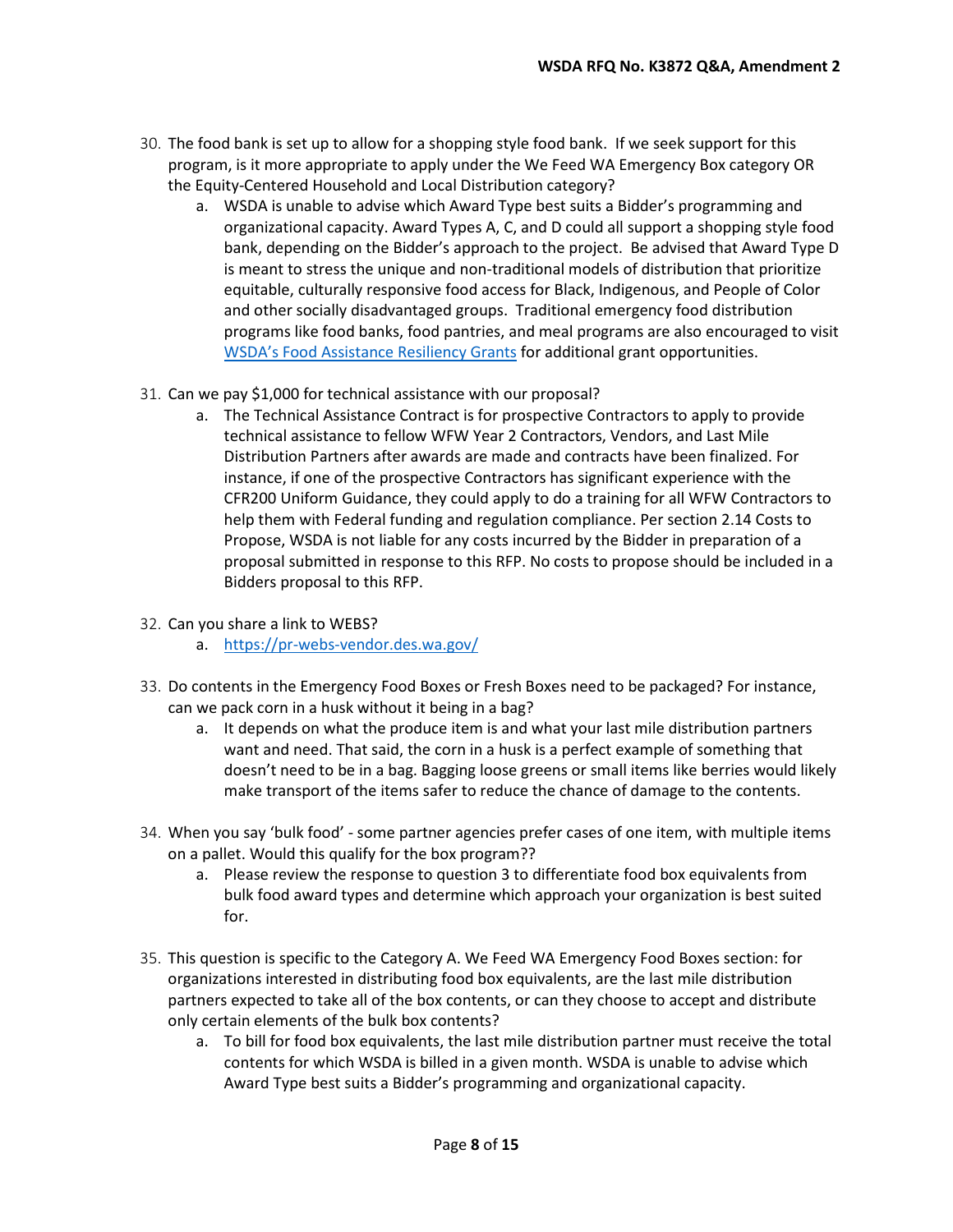- 30. The food bank is set up to allow for a shopping style food bank. If we seek support for this program, is it more appropriate to apply under the We Feed WA Emergency Box category OR the Equity-Centered Household and Local Distribution category?
	- a. WSDA is unable to advise which Award Type best suits a Bidder's programming and organizational capacity. Award Types A, C, and D could all support a shopping style food bank, depending on the Bidder's approach to the project. Be advised that Award Type D is meant to stress the unique and non-traditional models of distribution that prioritize equitable, culturally responsive food access for Black, Indigenous, and People of Color and other socially disadvantaged groups. Traditional emergency food distribution programs like food banks, food pantries, and meal programs are also encouraged to visit [WSDA's Food Assistance Resiliency Grants](https://agr.wa.gov/services/food-access/hunger-relief-resources/food-assistance-grants/resiliency-grants) for additional grant opportunities.
- 31. Can we pay \$1,000 for technical assistance with our proposal?
	- a. The Technical Assistance Contract is for prospective Contractors to apply to provide technical assistance to fellow WFW Year 2 Contractors, Vendors, and Last Mile Distribution Partners after awards are made and contracts have been finalized. For instance, if one of the prospective Contractors has significant experience with the CFR200 Uniform Guidance, they could apply to do a training for all WFW Contractors to help them with Federal funding and regulation compliance. Per section 2.14 Costs to Propose, WSDA is not liable for any costs incurred by the Bidder in preparation of a proposal submitted in response to this RFP. No costs to propose should be included in a Bidders proposal to this RFP.
- 32. Can you share a link to WEBS?
	- a. <https://pr-webs-vendor.des.wa.gov/>
- 33. Do contents in the Emergency Food Boxes or Fresh Boxes need to be packaged? For instance, can we pack corn in a husk without it being in a bag?
	- a. It depends on what the produce item is and what your last mile distribution partners want and need. That said, the corn in a husk is a perfect example of something that doesn't need to be in a bag. Bagging loose greens or small items like berries would likely make transport of the items safer to reduce the chance of damage to the contents.
- 34. When you say 'bulk food' some partner agencies prefer cases of one item, with multiple items on a pallet. Would this qualify for the box program??
	- a. Please review the response to question 3 to differentiate food box equivalents from bulk food award types and determine which approach your organization is best suited for.
- 35. This question is specific to the Category A. We Feed WA Emergency Food Boxes section: for organizations interested in distributing food box equivalents, are the last mile distribution partners expected to take all of the box contents, or can they choose to accept and distribute only certain elements of the bulk box contents?
	- a. To bill for food box equivalents, the last mile distribution partner must receive the total contents for which WSDA is billed in a given month. WSDA is unable to advise which Award Type best suits a Bidder's programming and organizational capacity.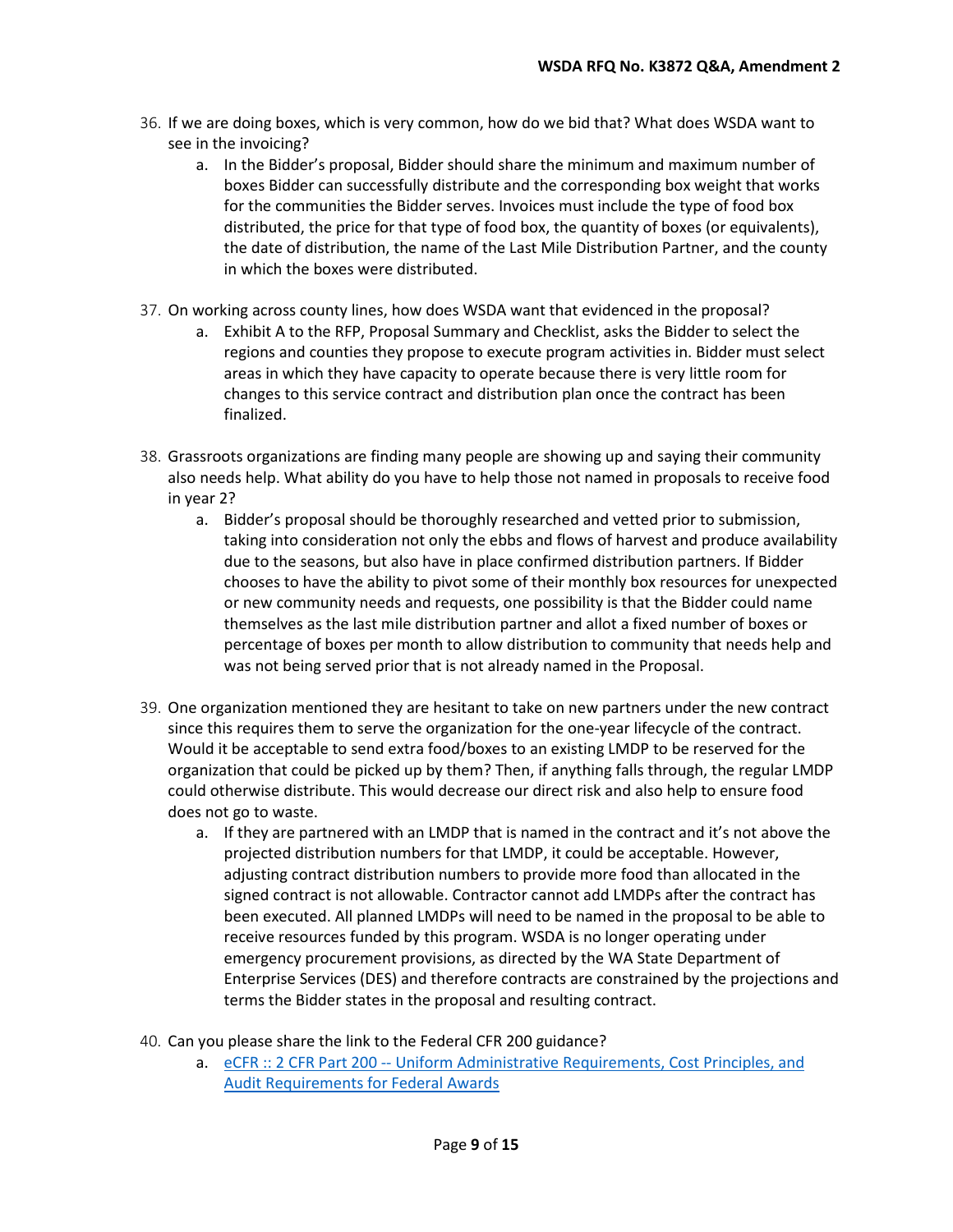- 36. If we are doing boxes, which is very common, how do we bid that? What does WSDA want to see in the invoicing?
	- a. In the Bidder's proposal, Bidder should share the minimum and maximum number of boxes Bidder can successfully distribute and the corresponding box weight that works for the communities the Bidder serves. Invoices must include the type of food box distributed, the price for that type of food box, the quantity of boxes (or equivalents), the date of distribution, the name of the Last Mile Distribution Partner, and the county in which the boxes were distributed.
- 37. On working across county lines, how does WSDA want that evidenced in the proposal?
	- a. Exhibit A to the RFP, Proposal Summary and Checklist, asks the Bidder to select the regions and counties they propose to execute program activities in. Bidder must select areas in which they have capacity to operate because there is very little room for changes to this service contract and distribution plan once the contract has been finalized.
- 38. Grassroots organizations are finding many people are showing up and saying their community also needs help. What ability do you have to help those not named in proposals to receive food in year 2?
	- a. Bidder's proposal should be thoroughly researched and vetted prior to submission, taking into consideration not only the ebbs and flows of harvest and produce availability due to the seasons, but also have in place confirmed distribution partners. If Bidder chooses to have the ability to pivot some of their monthly box resources for unexpected or new community needs and requests, one possibility is that the Bidder could name themselves as the last mile distribution partner and allot a fixed number of boxes or percentage of boxes per month to allow distribution to community that needs help and was not being served prior that is not already named in the Proposal.
- 39. One organization mentioned they are hesitant to take on new partners under the new contract since this requires them to serve the organization for the one-year lifecycle of the contract. Would it be acceptable to send extra food/boxes to an existing LMDP to be reserved for the organization that could be picked up by them? Then, if anything falls through, the regular LMDP could otherwise distribute. This would decrease our direct risk and also help to ensure food does not go to waste.
	- a. If they are partnered with an LMDP that is named in the contract and it's not above the projected distribution numbers for that LMDP, it could be acceptable. However, adjusting contract distribution numbers to provide more food than allocated in the signed contract is not allowable. Contractor cannot add LMDPs after the contract has been executed. All planned LMDPs will need to be named in the proposal to be able to receive resources funded by this program. WSDA is no longer operating under emergency procurement provisions, as directed by the WA State Department of Enterprise Services (DES) and therefore contracts are constrained by the projections and terms the Bidder states in the proposal and resulting contract.
- 40. Can you please share the link to the Federal CFR 200 guidance?
	- a. eCFR :: 2 CFR Part 200 -- [Uniform Administrative Requirements, Cost Principles, and](https://www.ecfr.gov/current/title-2/subtitle-A/chapter-II/part-200#p-200.501(c))  [Audit Requirements for Federal Awards](https://www.ecfr.gov/current/title-2/subtitle-A/chapter-II/part-200#p-200.501(c))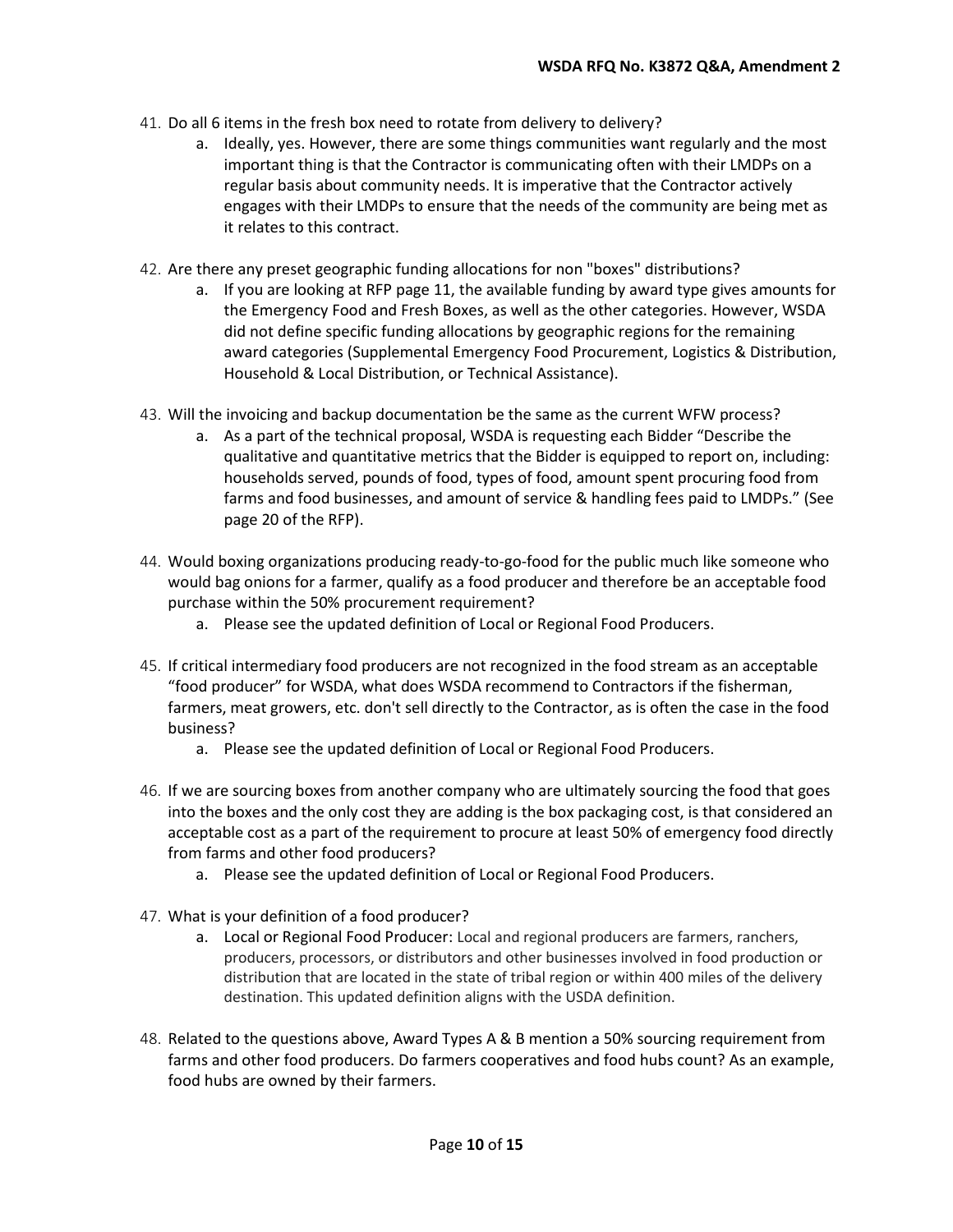- 41. Do all 6 items in the fresh box need to rotate from delivery to delivery?
	- a. Ideally, yes. However, there are some things communities want regularly and the most important thing is that the Contractor is communicating often with their LMDPs on a regular basis about community needs. It is imperative that the Contractor actively engages with their LMDPs to ensure that the needs of the community are being met as it relates to this contract.
- 42. Are there any preset geographic funding allocations for non "boxes" distributions?
	- a. If you are looking at RFP page 11, the available funding by award type gives amounts for the Emergency Food and Fresh Boxes, as well as the other categories. However, WSDA did not define specific funding allocations by geographic regions for the remaining award categories (Supplemental Emergency Food Procurement, Logistics & Distribution, Household & Local Distribution, or Technical Assistance).
- 43. Will the invoicing and backup documentation be the same as the current WFW process?
	- a. As a part of the technical proposal, WSDA is requesting each Bidder "Describe the qualitative and quantitative metrics that the Bidder is equipped to report on, including: households served, pounds of food, types of food, amount spent procuring food from farms and food businesses, and amount of service & handling fees paid to LMDPs." (See page 20 of the RFP).
- 44. Would boxing organizations producing ready-to-go-food for the public much like someone who would bag onions for a farmer, qualify as a food producer and therefore be an acceptable food purchase within the 50% procurement requirement?
	- a. Please see the updated definition of Local or Regional Food Producers.
- 45. If critical intermediary food producers are not recognized in the food stream as an acceptable "food producer" for WSDA, what does WSDA recommend to Contractors if the fisherman, farmers, meat growers, etc. don't sell directly to the Contractor, as is often the case in the food business?
	- a. Please see the updated definition of Local or Regional Food Producers.
- 46. If we are sourcing boxes from another company who are ultimately sourcing the food that goes into the boxes and the only cost they are adding is the box packaging cost, is that considered an acceptable cost as a part of the requirement to procure at least 50% of emergency food directly from farms and other food producers?
	- a. Please see the updated definition of Local or Regional Food Producers.
- 47. What is your definition of a food producer?
	- a. Local or Regional Food Producer: Local and regional producers are farmers, ranchers, producers, processors, or distributors and other businesses involved in food production or distribution that are located in the state of tribal region or within 400 miles of the delivery destination. This updated definition aligns with the USDA definition.
- 48. Related to the questions above, Award Types A & B mention a 50% sourcing requirement from farms and other food producers. Do farmers cooperatives and food hubs count? As an example, food hubs are owned by their farmers.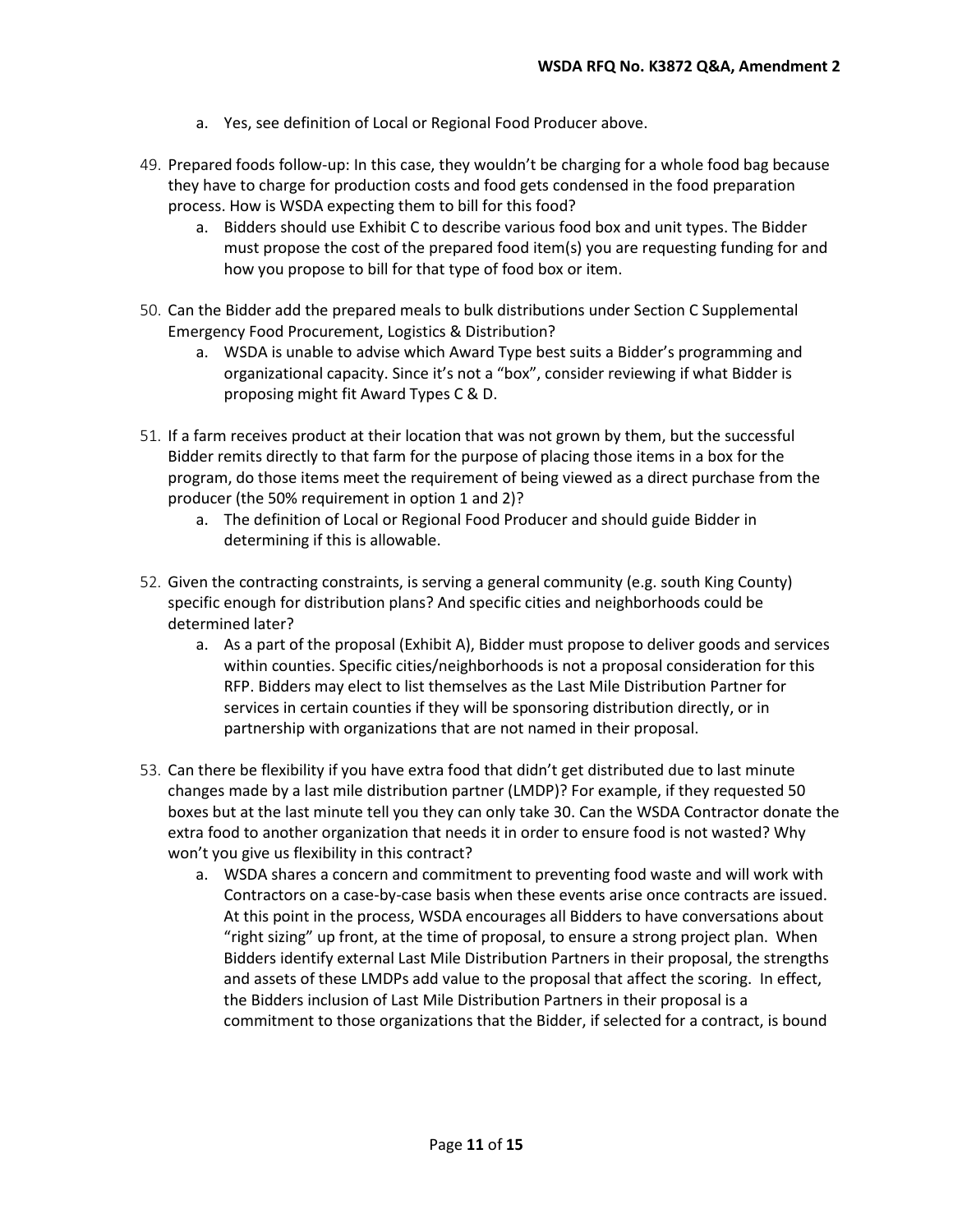- a. Yes, see definition of Local or Regional Food Producer above.
- 49. Prepared foods follow-up: In this case, they wouldn't be charging for a whole food bag because they have to charge for production costs and food gets condensed in the food preparation process. How is WSDA expecting them to bill for this food?
	- a. Bidders should use Exhibit C to describe various food box and unit types. The Bidder must propose the cost of the prepared food item(s) you are requesting funding for and how you propose to bill for that type of food box or item.
- 50. Can the Bidder add the prepared meals to bulk distributions under Section C Supplemental Emergency Food Procurement, Logistics & Distribution?
	- a. WSDA is unable to advise which Award Type best suits a Bidder's programming and organizational capacity. Since it's not a "box", consider reviewing if what Bidder is proposing might fit Award Types C & D.
- 51. If a farm receives product at their location that was not grown by them, but the successful Bidder remits directly to that farm for the purpose of placing those items in a box for the program, do those items meet the requirement of being viewed as a direct purchase from the producer (the 50% requirement in option 1 and 2)?
	- a. The definition of Local or Regional Food Producer and should guide Bidder in determining if this is allowable.
- 52. Given the contracting constraints, is serving a general community (e.g. south King County) specific enough for distribution plans? And specific cities and neighborhoods could be determined later?
	- a. As a part of the proposal (Exhibit A), Bidder must propose to deliver goods and services within counties. Specific cities/neighborhoods is not a proposal consideration for this RFP. Bidders may elect to list themselves as the Last Mile Distribution Partner for services in certain counties if they will be sponsoring distribution directly, or in partnership with organizations that are not named in their proposal.
- 53. Can there be flexibility if you have extra food that didn't get distributed due to last minute changes made by a last mile distribution partner (LMDP)? For example, if they requested 50 boxes but at the last minute tell you they can only take 30. Can the WSDA Contractor donate the extra food to another organization that needs it in order to ensure food is not wasted? Why won't you give us flexibility in this contract?
	- a. WSDA shares a concern and commitment to preventing food waste and will work with Contractors on a case-by-case basis when these events arise once contracts are issued. At this point in the process, WSDA encourages all Bidders to have conversations about "right sizing" up front, at the time of proposal, to ensure a strong project plan. When Bidders identify external Last Mile Distribution Partners in their proposal, the strengths and assets of these LMDPs add value to the proposal that affect the scoring. In effect, the Bidders inclusion of Last Mile Distribution Partners in their proposal is a commitment to those organizations that the Bidder, if selected for a contract, is bound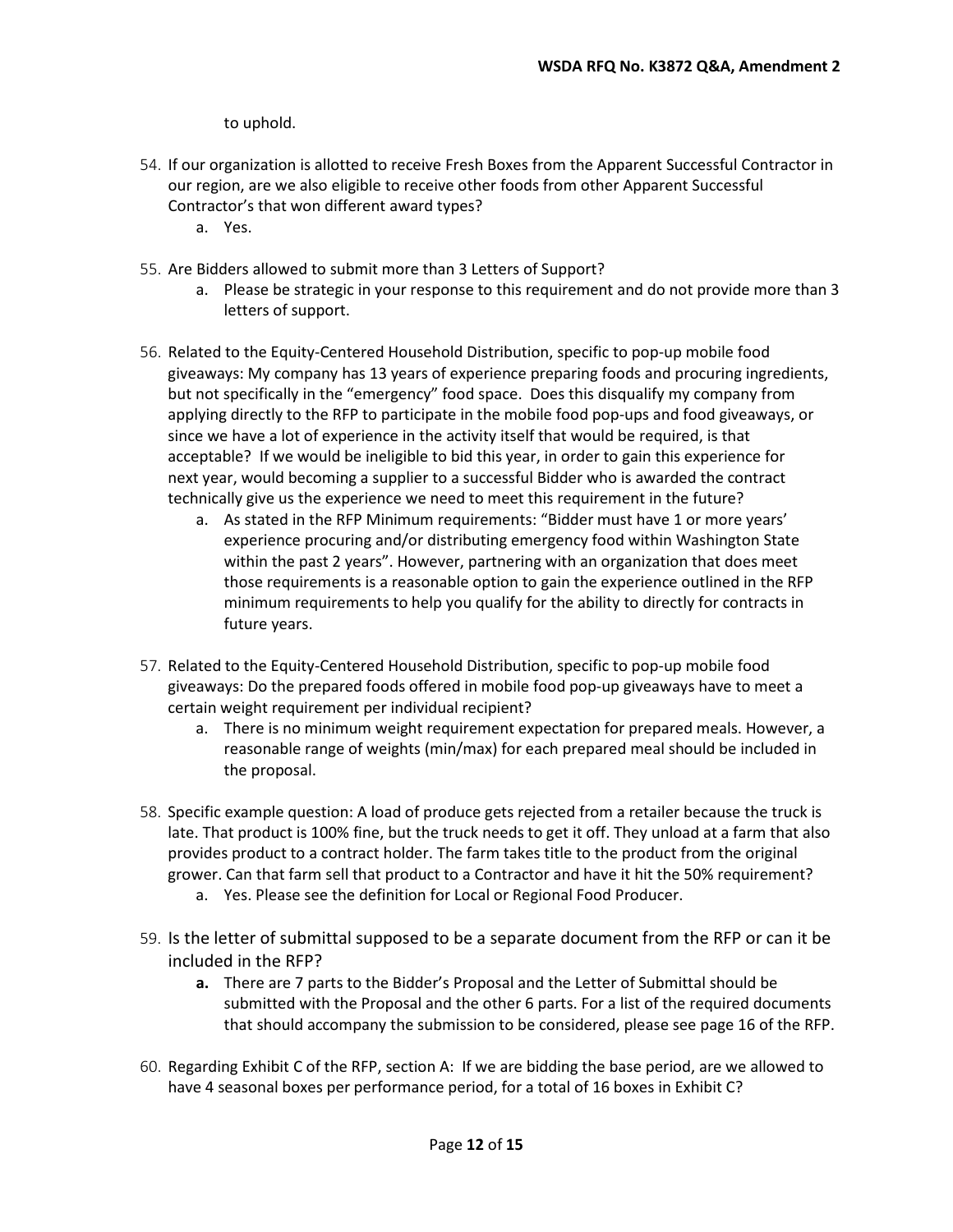to uphold.

- 54. If our organization is allotted to receive Fresh Boxes from the Apparent Successful Contractor in our region, are we also eligible to receive other foods from other Apparent Successful Contractor's that won different award types?
	- a. Yes.
- 55. Are Bidders allowed to submit more than 3 Letters of Support?
	- a. Please be strategic in your response to this requirement and do not provide more than 3 letters of support.
- 56. Related to the Equity-Centered Household Distribution, specific to pop-up mobile food giveaways: My company has 13 years of experience preparing foods and procuring ingredients, but not specifically in the "emergency" food space. Does this disqualify my company from applying directly to the RFP to participate in the mobile food pop-ups and food giveaways, or since we have a lot of experience in the activity itself that would be required, is that acceptable? If we would be ineligible to bid this year, in order to gain this experience for next year, would becoming a supplier to a successful Bidder who is awarded the contract technically give us the experience we need to meet this requirement in the future?
	- a. As stated in the RFP Minimum requirements: "Bidder must have 1 or more years' experience procuring and/or distributing emergency food within Washington State within the past 2 years". However, partnering with an organization that does meet those requirements is a reasonable option to gain the experience outlined in the RFP minimum requirements to help you qualify for the ability to directly for contracts in future years.
- 57. Related to the Equity-Centered Household Distribution, specific to pop-up mobile food giveaways: Do the prepared foods offered in mobile food pop-up giveaways have to meet a certain weight requirement per individual recipient?
	- a. There is no minimum weight requirement expectation for prepared meals. However, a reasonable range of weights (min/max) for each prepared meal should be included in the proposal.
- 58. Specific example question: A load of produce gets rejected from a retailer because the truck is late. That product is 100% fine, but the truck needs to get it off. They unload at a farm that also provides product to a contract holder. The farm takes title to the product from the original grower. Can that farm sell that product to a Contractor and have it hit the 50% requirement?
	- a. Yes. Please see the definition for Local or Regional Food Producer.
- 59. Is the letter of submittal supposed to be a separate document from the RFP or can it be included in the RFP?
	- **a.** There are 7 parts to the Bidder's Proposal and the Letter of Submittal should be submitted with the Proposal and the other 6 parts. For a list of the required documents that should accompany the submission to be considered, please see page 16 of the RFP.
- 60. Regarding Exhibit C of the RFP, section A: If we are bidding the base period, are we allowed to have 4 seasonal boxes per performance period, for a total of 16 boxes in Exhibit C?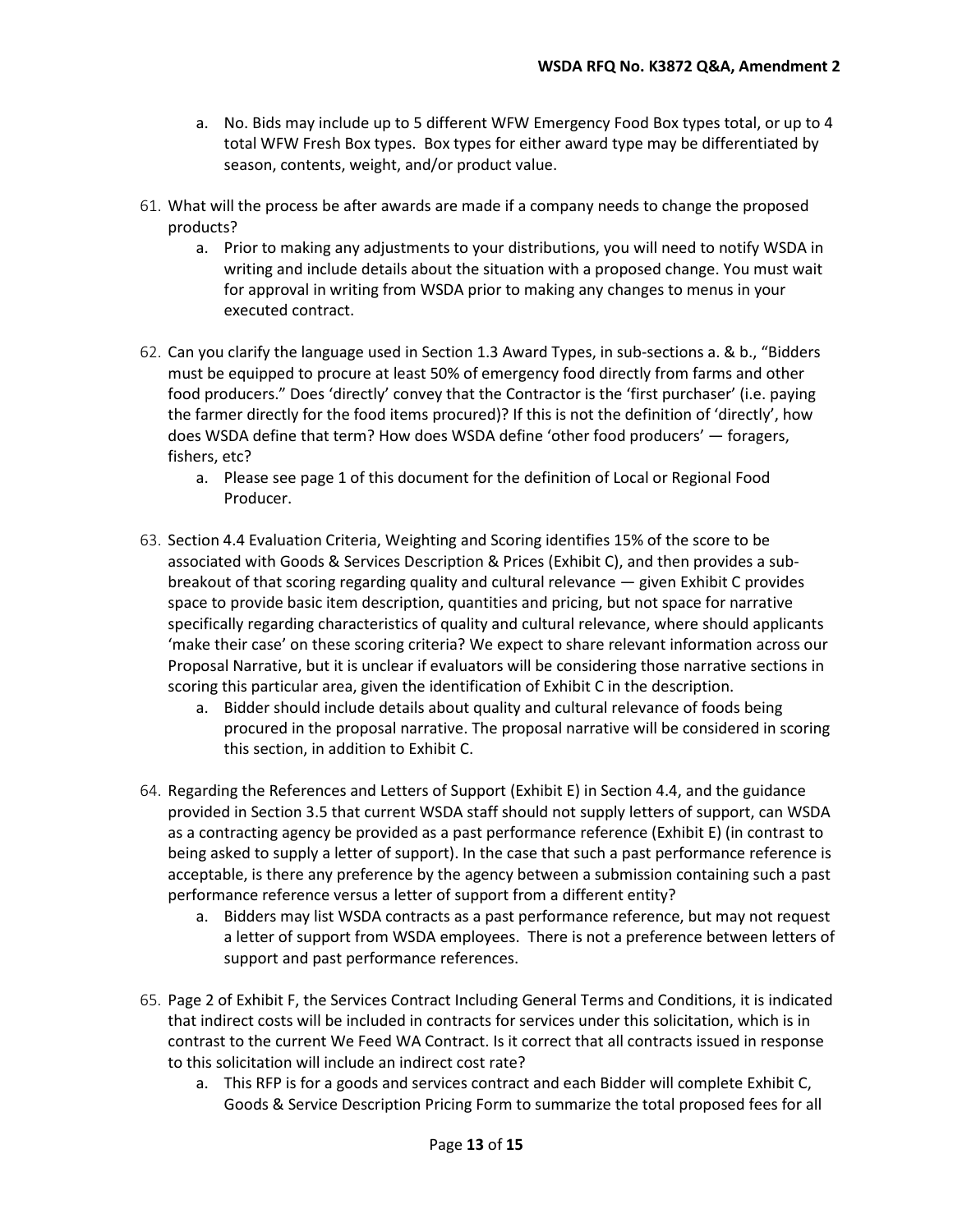- a. No. Bids may include up to 5 different WFW Emergency Food Box types total, or up to 4 total WFW Fresh Box types. Box types for either award type may be differentiated by season, contents, weight, and/or product value.
- 61. What will the process be after awards are made if a company needs to change the proposed products?
	- a. Prior to making any adjustments to your distributions, you will need to notify WSDA in writing and include details about the situation with a proposed change. You must wait for approval in writing from WSDA prior to making any changes to menus in your executed contract.
- 62. Can you clarify the language used in Section 1.3 Award Types, in sub-sections a. & b., "Bidders must be equipped to procure at least 50% of emergency food directly from farms and other food producers." Does 'directly' convey that the Contractor is the 'first purchaser' (i.e. paying the farmer directly for the food items procured)? If this is not the definition of 'directly', how does WSDA define that term? How does WSDA define 'other food producers' — foragers, fishers, etc?
	- a. Please see page 1 of this document for the definition of Local or Regional Food Producer.
- 63. Section 4.4 Evaluation Criteria, Weighting and Scoring identifies 15% of the score to be associated with Goods & Services Description & Prices (Exhibit C), and then provides a subbreakout of that scoring regarding quality and cultural relevance — given Exhibit C provides space to provide basic item description, quantities and pricing, but not space for narrative specifically regarding characteristics of quality and cultural relevance, where should applicants 'make their case' on these scoring criteria? We expect to share relevant information across our Proposal Narrative, but it is unclear if evaluators will be considering those narrative sections in scoring this particular area, given the identification of Exhibit C in the description.
	- a. Bidder should include details about quality and cultural relevance of foods being procured in the proposal narrative. The proposal narrative will be considered in scoring this section, in addition to Exhibit C.
- 64. Regarding the References and Letters of Support (Exhibit E) in Section 4.4, and the guidance provided in Section 3.5 that current WSDA staff should not supply letters of support, can WSDA as a contracting agency be provided as a past performance reference (Exhibit E) (in contrast to being asked to supply a letter of support). In the case that such a past performance reference is acceptable, is there any preference by the agency between a submission containing such a past performance reference versus a letter of support from a different entity?
	- a. Bidders may list WSDA contracts as a past performance reference, but may not request a letter of support from WSDA employees. There is not a preference between letters of support and past performance references.
- 65. Page 2 of Exhibit F, the Services Contract Including General Terms and Conditions, it is indicated that indirect costs will be included in contracts for services under this solicitation, which is in contrast to the current We Feed WA Contract. Is it correct that all contracts issued in response to this solicitation will include an indirect cost rate?
	- a. This RFP is for a goods and services contract and each Bidder will complete Exhibit C, Goods & Service Description Pricing Form to summarize the total proposed fees for all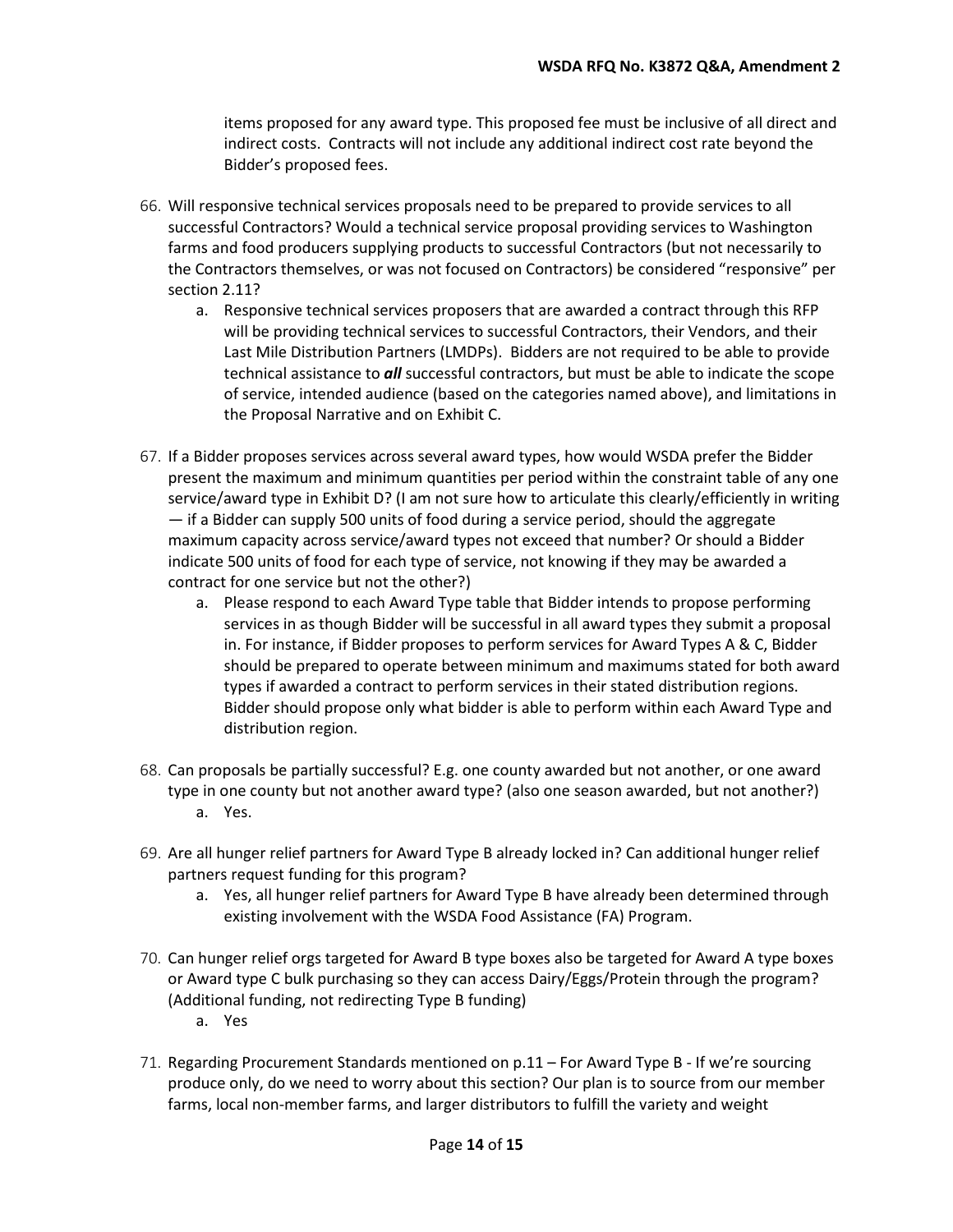items proposed for any award type. This proposed fee must be inclusive of all direct and indirect costs. Contracts will not include any additional indirect cost rate beyond the Bidder's proposed fees.

- 66. Will responsive technical services proposals need to be prepared to provide services to all successful Contractors? Would a technical service proposal providing services to Washington farms and food producers supplying products to successful Contractors (but not necessarily to the Contractors themselves, or was not focused on Contractors) be considered "responsive" per section 2.11?
	- a. Responsive technical services proposers that are awarded a contract through this RFP will be providing technical services to successful Contractors, their Vendors, and their Last Mile Distribution Partners (LMDPs). Bidders are not required to be able to provide technical assistance to *all* successful contractors, but must be able to indicate the scope of service, intended audience (based on the categories named above), and limitations in the Proposal Narrative and on Exhibit C.
- 67. If a Bidder proposes services across several award types, how would WSDA prefer the Bidder present the maximum and minimum quantities per period within the constraint table of any one service/award type in Exhibit D? (I am not sure how to articulate this clearly/efficiently in writing — if a Bidder can supply 500 units of food during a service period, should the aggregate maximum capacity across service/award types not exceed that number? Or should a Bidder indicate 500 units of food for each type of service, not knowing if they may be awarded a contract for one service but not the other?)
	- a. Please respond to each Award Type table that Bidder intends to propose performing services in as though Bidder will be successful in all award types they submit a proposal in. For instance, if Bidder proposes to perform services for Award Types A & C, Bidder should be prepared to operate between minimum and maximums stated for both award types if awarded a contract to perform services in their stated distribution regions. Bidder should propose only what bidder is able to perform within each Award Type and distribution region.
- 68. Can proposals be partially successful? E.g. one county awarded but not another, or one award type in one county but not another award type? (also one season awarded, but not another?) a. Yes.
- 69. Are all hunger relief partners for Award Type B already locked in? Can additional hunger relief partners request funding for this program?
	- a. Yes, all hunger relief partners for Award Type B have already been determined through existing involvement with the WSDA Food Assistance (FA) Program.
- 70. Can hunger relief orgs targeted for Award B type boxes also be targeted for Award A type boxes or Award type C bulk purchasing so they can access Dairy/Eggs/Protein through the program? (Additional funding, not redirecting Type B funding)
	- a. Yes
- 71. Regarding Procurement Standards mentioned on p.11 For Award Type B If we're sourcing produce only, do we need to worry about this section? Our plan is to source from our member farms, local non-member farms, and larger distributors to fulfill the variety and weight